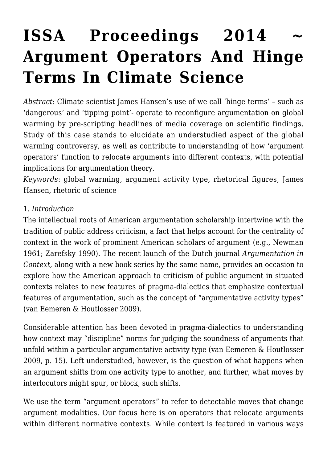# ISSA Proceedings 2014 **[Argument Operators And Hinge](https://rozenbergquarterly.com/issa-proceedings-2014-argument-operators-and-hinge-terms-in-climate-science/) [Terms In Climate Science](https://rozenbergquarterly.com/issa-proceedings-2014-argument-operators-and-hinge-terms-in-climate-science/)**

*Abstract*: Climate scientist James Hansen's use of we call 'hinge terms' – such as 'dangerous' and 'tipping point'- operate to reconfigure argumentation on global warming by pre-scripting headlines of media coverage on scientific findings. Study of this case stands to elucidate an understudied aspect of the global warming controversy, as well as contribute to understanding of how 'argument operators' function to relocate arguments into different contexts, with potential implications for argumentation theory.

*Keywords*: global warming, argument activity type, rhetorical figures, James Hansen, rhetoric of science

#### 1. *Introduction*

The intellectual roots of American argumentation scholarship intertwine with the tradition of public address criticism, a fact that helps account for the centrality of context in the work of prominent American scholars of argument (e.g., Newman 1961; Zarefsky 1990). The recent launch of the Dutch journal *Argumentation in Context,* along with a new book series by the same name, provides an occasion to explore how the American approach to criticism of public argument in situated contexts relates to new features of pragma-dialectics that emphasize contextual features of argumentation, such as the concept of "argumentative activity types" (van Eemeren & Houtlosser 2009).

Considerable attention has been devoted in pragma-dialectics to understanding how context may "discipline" norms for judging the soundness of arguments that unfold within a particular argumentative activity type (van Eemeren & Houtlosser 2009, p. 15). Left understudied, however, is the question of what happens when an argument shifts from one activity type to another, and further, what moves by interlocutors might spur, or block, such shifts.

We use the term "argument operators" to refer to detectable moves that change argument modalities. Our focus here is on operators that relocate arguments within different normative contexts. While context is featured in various ways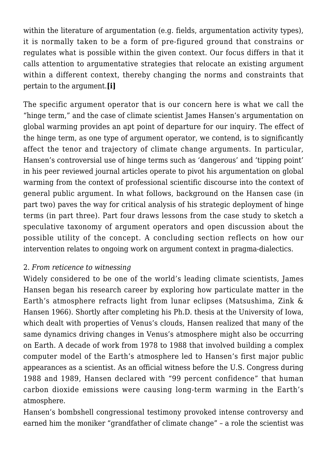within the literature of argumentation (e.g. fields, argumentation activity types), it is normally taken to be a form of pre-figured ground that constrains or regulates what is possible within the given context. Our focus differs in that it calls attention to argumentative strategies that relocate an existing argument within a different context, thereby changing the norms and constraints that pertain to the argument.**[i]**

The specific argument operator that is our concern here is what we call the "hinge term," and the case of climate scientist James Hansen's argumentation on global warming provides an apt point of departure for our inquiry. The effect of the hinge term, as one type of argument operator, we contend, is to significantly affect the tenor and trajectory of climate change arguments. In particular, Hansen's controversial use of hinge terms such as 'dangerous' and 'tipping point' in his peer reviewed journal articles operate to pivot his argumentation on global warming from the context of professional scientific discourse into the context of general public argument. In what follows, background on the Hansen case (in part two) paves the way for critical analysis of his strategic deployment of hinge terms (in part three). Part four draws lessons from the case study to sketch a speculative taxonomy of argument operators and open discussion about the possible utility of the concept. A concluding section reflects on how our intervention relates to ongoing work on argument context in pragma-dialectics.

## 2. *From reticence to witnessing*

Widely considered to be one of the world's leading climate scientists, James Hansen began his research career by exploring how particulate matter in the Earth's atmosphere refracts light from lunar eclipses (Matsushima, Zink & Hansen 1966). Shortly after completing his Ph.D. thesis at the University of Iowa, which dealt with properties of Venus's clouds, Hansen realized that many of the same dynamics driving changes in Venus's atmosphere might also be occurring on Earth. A decade of work from 1978 to 1988 that involved building a complex computer model of the Earth's atmosphere led to Hansen's first major public appearances as a scientist. As an official witness before the U.S. Congress during 1988 and 1989, Hansen declared with "99 percent confidence" that human carbon dioxide emissions were causing long-term warming in the Earth's atmosphere.

Hansen's bombshell congressional testimony provoked intense controversy and earned him the moniker "grandfather of climate change" – a role the scientist was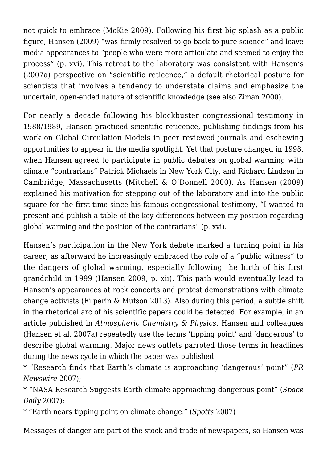not quick to embrace (McKie 2009). Following his first big splash as a public figure, Hansen (2009) "was firmly resolved to go back to pure science" and leave media appearances to "people who were more articulate and seemed to enjoy the process" (p. xvi). This retreat to the laboratory was consistent with Hansen's (2007a) perspective on "scientific reticence," a default rhetorical posture for scientists that involves a tendency to understate claims and emphasize the uncertain, open-ended nature of scientific knowledge (see also Ziman 2000).

For nearly a decade following his blockbuster congressional testimony in 1988/1989, Hansen practiced scientific reticence, publishing findings from his work on Global Circulation Models in peer reviewed journals and eschewing opportunities to appear in the media spotlight. Yet that posture changed in 1998, when Hansen agreed to participate in public debates on global warming with climate "contrarians" Patrick Michaels in New York City, and Richard Lindzen in Cambridge, Massachusetts (Mitchell & O'Donnell 2000). As Hansen (2009) explained his motivation for stepping out of the laboratory and into the public square for the first time since his famous congressional testimony, "I wanted to present and publish a table of the key differences between my position regarding global warming and the position of the contrarians" (p. xvi).

Hansen's participation in the New York debate marked a turning point in his career, as afterward he increasingly embraced the role of a "public witness" to the dangers of global warming, especially following the birth of his first grandchild in 1999 (Hansen 2009, p. xii). This path would eventually lead to Hansen's appearances at rock concerts and protest demonstrations with climate change activists (Eilperin & Mufson 2013). Also during this period, a subtle shift in the rhetorical arc of his scientific papers could be detected. For example, in an article published in *Atmospheric Chemistry & Physics*, Hansen and colleagues (Hansen et al. 2007a) repeatedly use the terms 'tipping point' and 'dangerous' to describe global warming. Major news outlets parroted those terms in headlines during the news cycle in which the paper was published:

\* "Research finds that Earth's climate is approaching 'dangerous' point" (*PR Newswire* 2007);

\* "NASA Research Suggests Earth climate approaching dangerous point" (*Space Daily* 2007);

\* "Earth nears tipping point on climate change." (*Spotts* 2007)

Messages of danger are part of the stock and trade of newspapers, so Hansen was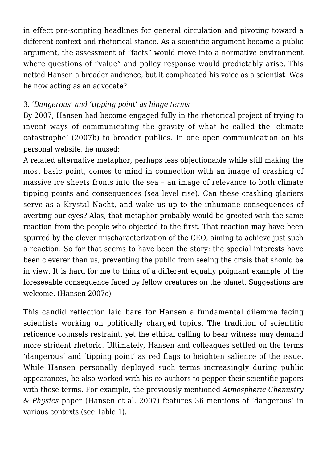in effect pre-scripting headlines for general circulation and pivoting toward a different context and rhetorical stance. As a scientific argument became a public argument, the assessment of "facts" would move into a normative environment where questions of "value" and policy response would predictably arise. This netted Hansen a broader audience, but it complicated his voice as a scientist. Was he now acting as an advocate?

### 3. *'Dangerous' and 'tipping point' as hinge terms*

By 2007, Hansen had become engaged fully in the rhetorical project of trying to invent ways of communicating the gravity of what he called the 'climate catastrophe' (2007b) to broader publics. In one open communication on his personal website, he mused:

A related alternative metaphor, perhaps less objectionable while still making the most basic point, comes to mind in connection with an image of crashing of massive ice sheets fronts into the sea – an image of relevance to both climate tipping points and consequences (sea level rise). Can these crashing glaciers serve as a Krystal Nacht, and wake us up to the inhumane consequences of averting our eyes? Alas, that metaphor probably would be greeted with the same reaction from the people who objected to the first. That reaction may have been spurred by the clever mischaracterization of the CEO, aiming to achieve just such a reaction. So far that seems to have been the story: the special interests have been cleverer than us, preventing the public from seeing the crisis that should be in view. It is hard for me to think of a different equally poignant example of the foreseeable consequence faced by fellow creatures on the planet. Suggestions are welcome. (Hansen 2007c)

This candid reflection laid bare for Hansen a fundamental dilemma facing scientists working on politically charged topics. The tradition of scientific reticence counsels restraint, yet the ethical calling to bear witness may demand more strident rhetoric. Ultimately, Hansen and colleagues settled on the terms 'dangerous' and 'tipping point' as red flags to heighten salience of the issue. While Hansen personally deployed such terms increasingly during public appearances, he also worked with his co-authors to pepper their scientific papers with these terms. For example, the previously mentioned *Atmospheric Chemistry & Physics* paper (Hansen et al. 2007) features 36 mentions of 'dangerous' in various contexts (see Table 1).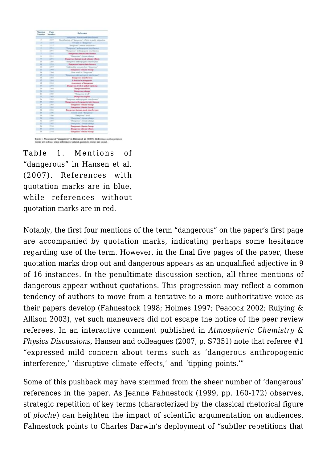| Measure<br>Neesher | Page<br>Nassaliser | <b>Hafermann</b>                                   |
|--------------------|--------------------|----------------------------------------------------|
| т                  | TITT               | despress leave mak particular                      |
| Ŧ                  | 22.77              | Monthance of "despines" officis is parily relative |
| s                  | 1118               | 414 ppm is "Josephone"                             |
| ×.                 | 3339               | "distances" leatest implicance                     |
| ٠                  | 2.044              | Покронно" мобильного леалбение                     |
| ×                  | 3394               | Therapeute' and exposures teambrevers              |
| ٣                  | <b>IIME</b>        | <b>Dangerous elles aix la terference</b>           |
| ×                  | 3396               | Danastiwe" alement chance                          |
| m                  | 2,598              | <b>Panarross buman made climate effects</b>        |
| 3.9                | 2266               | This government and converting temperature of      |
| n                  | 3,595              | Bargerson haman interference                       |
| 13                 | 3364               | Making that resnativities "dangerous"              |
| и                  | 3304               | Dangerous charatt change                           |
| 14                 | 3364               | How much is "theractore"                           |
| w                  | 2,804              | Thousando, softenpolitureal teambrower"            |
| 14                 | 2364               | <b>Dangerous</b> interference                      |
| Ħ                  | 2394               | Likely to be dangerous.                            |
| 18                 | 3364               | Assessment of dangerous                            |
| <b>YH</b>          | 3364               | Dangerous level of chikal warming                  |
| $\overline{11}$    | 2364               | <b>Despress offerts</b>                            |
| TE.                | 236.8              | <b>Bangroun charge</b>                             |
| 35                 | 3,000              | "Dengistran laval"                                 |
| Ħ                  | 3328               | <b>Daugerous</b> regime                            |
| 34                 | 1365               | "Dangarous anderspreasure interference"            |
| 25                 | TELE               | Dangerous authoreugenic interference               |
| 24.                | 2000               | Dangerous climate change                           |
| Ħ                  | 2118               | Dangerous climate classge                          |
| $\overline{10}$    | 3 hours            | Bangerous human-made interference                  |
| Ħ                  | 1104               | Minor and "Amprove"                                |
| 34                 | 3.10m              | Thangerous" level                                  |
| 34                 | 33661              | Dangonna' chouse choose                            |
| 13                 | 1,007              | Dangstown" allenges allunus                        |
| 11                 | <b>THIT</b>        | <b>Dangeroad' Librario change</b>                  |
| Til.               | <b>Than</b>        | <b>Dangerous climate change</b>                    |
| 11                 | <b>T194</b>        | Dangerous clintate offerts                         |
| w                  | 2346               | <b>Dangerous climate change</b>                    |

Table 1. Mentions of "dangerous" in Hansen et al. (2007). References with quotation marks are in blue, while references without quotation marks are in red.

Table 1. Mentions of "dangerous" in Hansen et al. (2007). References with quotation marks are in blue, while references without quotation marks are in red.

Notably, the first four mentions of the term "dangerous" on the paper's first page are accompanied by quotation marks, indicating perhaps some hesitance regarding use of the term. However, in the final five pages of the paper, these quotation marks drop out and dangerous appears as an unqualified adjective in 9 of 16 instances. In the penultimate discussion section, all three mentions of dangerous appear without quotations. This progression may reflect a common tendency of authors to move from a tentative to a more authoritative voice as their papers develop (Fahnestock 1998; Holmes 1997; Peacock 2002; Ruiying & Allison 2003), yet such maneuvers did not escape the notice of the peer review referees. In an interactive comment published in *Atmospheric Chemistry & Physics Discussions,* Hansen and colleagues (2007, p. S7351) note that referee #1 "expressed mild concern about terms such as 'dangerous anthropogenic interference,' 'disruptive climate effects,' and 'tipping points.'"

Some of this pushback may have stemmed from the sheer number of 'dangerous' references in the paper. As Jeanne Fahnestock (1999, pp. 160-172) observes, strategic repetition of key terms (characterized by the classical rhetorical figure of *ploche*) can heighten the impact of scientific argumentation on audiences. Fahnestock points to Charles Darwin's deployment of "subtler repetitions that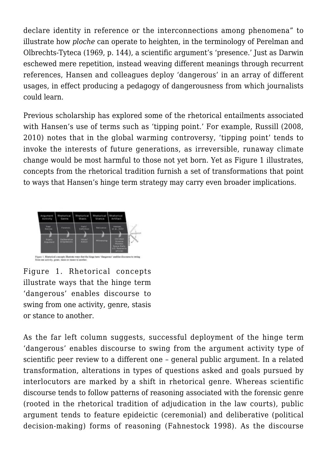declare identity in reference or the interconnections among phenomena" to illustrate how *ploche* can operate to heighten, in the terminology of Perelman and Olbrechts-Tyteca (1969, p. 144), a scientific argument's 'presence.' Just as Darwin eschewed mere repetition, instead weaving different meanings through recurrent references, Hansen and colleagues deploy 'dangerous' in an array of different usages, in effect producing a pedagogy of dangerousness from which journalists could learn.

Previous scholarship has explored some of the rhetorical entailments associated with Hansen's use of terms such as 'tipping point.' For example, Russill (2008, 2010) notes that in the global warming controversy, 'tipping point' tends to invoke the interests of future generations, as irreversible, runaway climate change would be most harmful to those not yet born. Yet as Figure 1 illustrates, concepts from the rhetorical tradition furnish a set of transformations that point to ways that Hansen's hinge term strategy may carry even broader implications.



Figure 1. Rhetorical concepts illustrate ways that the hinge term 'dangerous' enables discourse to swing from one activity, genre, stasis or stance to another.

As the far left column suggests, successful deployment of the hinge term 'dangerous' enables discourse to swing from the argument activity type of scientific peer review to a different one – general public argument. In a related transformation, alterations in types of questions asked and goals pursued by interlocutors are marked by a shift in rhetorical genre. Whereas scientific discourse tends to follow patterns of reasoning associated with the forensic genre (rooted in the rhetorical tradition of adjudication in the law courts), public argument tends to feature epideictic (ceremonial) and deliberative (political decision-making) forms of reasoning (Fahnestock 1998). As the discourse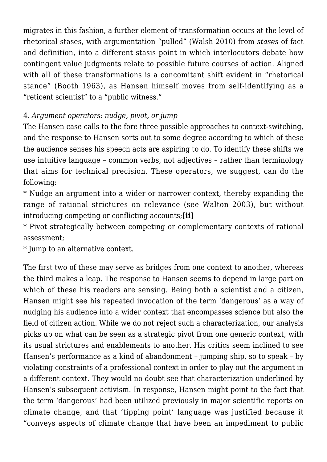migrates in this fashion, a further element of transformation occurs at the level of rhetorical stases, with argumentation "pulled" (Walsh 2010) from *stases* of fact and definition, into a different stasis point in which interlocutors debate how contingent value judgments relate to possible future courses of action. Aligned with all of these transformations is a concomitant shift evident in "rhetorical stance" (Booth 1963), as Hansen himself moves from self-identifying as a "reticent scientist" to a "public witness."

## 4. *Argument operators: nudge, pivot, or jump*

The Hansen case calls to the fore three possible approaches to context-switching, and the response to Hansen sorts out to some degree according to which of these the audience senses his speech acts are aspiring to do. To identify these shifts we use intuitive language – common verbs, not adjectives – rather than terminology that aims for technical precision. These operators, we suggest, can do the following:

\* Nudge an argument into a wider or narrower context, thereby expanding the range of rational strictures on relevance (see Walton 2003), but without introducing competing or conflicting accounts;**[ii]**

\* Pivot strategically between competing or complementary contexts of rational assessment;

\* Jump to an alternative context.

The first two of these may serve as bridges from one context to another, whereas the third makes a leap. The response to Hansen seems to depend in large part on which of these his readers are sensing. Being both a scientist and a citizen, Hansen might see his repeated invocation of the term 'dangerous' as a way of nudging his audience into a wider context that encompasses science but also the field of citizen action. While we do not reject such a characterization, our analysis picks up on what can be seen as a strategic pivot from one generic context, with its usual strictures and enablements to another. His critics seem inclined to see Hansen's performance as a kind of abandonment – jumping ship, so to speak – by violating constraints of a professional context in order to play out the argument in a different context. They would no doubt see that characterization underlined by Hansen's subsequent activism. In response, Hansen might point to the fact that the term 'dangerous' had been utilized previously in major scientific reports on climate change, and that 'tipping point' language was justified because it "conveys aspects of climate change that have been an impediment to public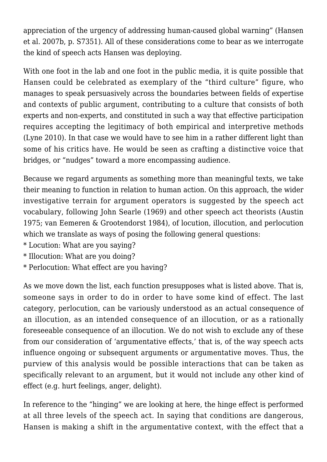appreciation of the urgency of addressing human-caused global warning" (Hansen et al. 2007b, p. S7351). All of these considerations come to bear as we interrogate the kind of speech acts Hansen was deploying.

With one foot in the lab and one foot in the public media, it is quite possible that Hansen could be celebrated as exemplary of the "third culture" figure, who manages to speak persuasively across the boundaries between fields of expertise and contexts of public argument, contributing to a culture that consists of both experts and non-experts, and constituted in such a way that effective participation requires accepting the legitimacy of both empirical and interpretive methods (Lyne 2010). In that case we would have to see him in a rather different light than some of his critics have. He would be seen as crafting a distinctive voice that bridges, or "nudges" toward a more encompassing audience.

Because we regard arguments as something more than meaningful texts, we take their meaning to function in relation to human action. On this approach, the wider investigative terrain for argument operators is suggested by the speech act vocabulary, following John Searle (1969) and other speech act theorists (Austin 1975; van Eemeren & Grootendorst 1984), of locution, illocution, and perlocution which we translate as ways of posing the following general questions:

- \* Locution: What are you saying?
- \* Illocution: What are you doing?
- \* Perlocution: What effect are you having?

As we move down the list, each function presupposes what is listed above. That is, someone says in order to do in order to have some kind of effect. The last category, perlocution, can be variously understood as an actual consequence of an illocution, as an intended consequence of an illocution, or as a rationally foreseeable consequence of an illocution. We do not wish to exclude any of these from our consideration of 'argumentative effects,' that is, of the way speech acts influence ongoing or subsequent arguments or argumentative moves. Thus, the purview of this analysis would be possible interactions that can be taken as specifically relevant to an argument, but it would not include any other kind of effect (e.g. hurt feelings, anger, delight).

In reference to the "hinging" we are looking at here, the hinge effect is performed at all three levels of the speech act. In saying that conditions are dangerous, Hansen is making a shift in the argumentative context, with the effect that a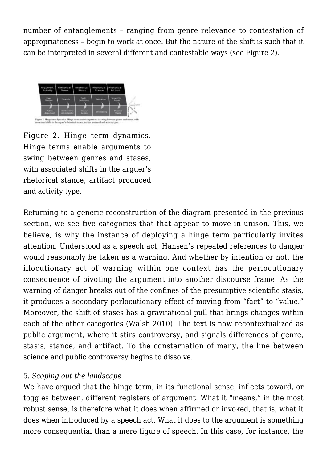number of entanglements – ranging from genre relevance to contestation of appropriateness – begin to work at once. But the nature of the shift is such that it can be interpreted in several different and contestable ways (see Figure 2).



Figure 2. Hinge term dynamics. Hinge terms enable arguments to swing between genres and stases, with associated shifts in the arguer's rhetorical stance, artifact produced and activity type.

Returning to a generic reconstruction of the diagram presented in the previous section, we see five categories that that appear to move in unison. This, we believe, is why the instance of deploying a hinge term particularly invites attention. Understood as a speech act, Hansen's repeated references to danger would reasonably be taken as a warning. And whether by intention or not, the illocutionary act of warning within one context has the perlocutionary consequence of pivoting the argument into another discourse frame. As the warning of danger breaks out of the confines of the presumptive scientific stasis, it produces a secondary perlocutionary effect of moving from "fact" to "value." Moreover, the shift of stases has a gravitational pull that brings changes within each of the other categories (Walsh 2010). The text is now recontextualized as public argument, where it stirs controversy, and signals differences of genre, stasis, stance, and artifact. To the consternation of many, the line between science and public controversy begins to dissolve.

#### 5. *Scoping out the landscape*

We have argued that the hinge term, in its functional sense, inflects toward, or toggles between, different registers of argument. What it "means," in the most robust sense, is therefore what it does when affirmed or invoked, that is, what it does when introduced by a speech act. What it does to the argument is something more consequential than a mere figure of speech. In this case, for instance, the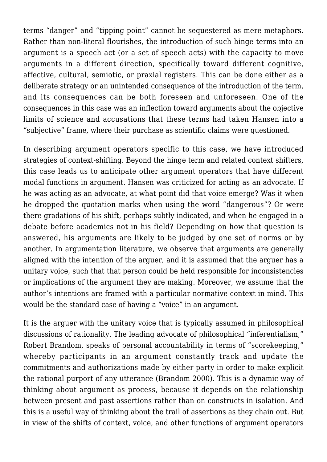terms "danger" and "tipping point" cannot be sequestered as mere metaphors. Rather than non-literal flourishes, the introduction of such hinge terms into an argument is a speech act (or a set of speech acts) with the capacity to move arguments in a different direction, specifically toward different cognitive, affective, cultural, semiotic, or praxial registers. This can be done either as a deliberate strategy or an unintended consequence of the introduction of the term, and its consequences can be both foreseen and unforeseen. One of the consequences in this case was an inflection toward arguments about the objective limits of science and accusations that these terms had taken Hansen into a "subjective" frame, where their purchase as scientific claims were questioned.

In describing argument operators specific to this case, we have introduced strategies of context-shifting. Beyond the hinge term and related context shifters, this case leads us to anticipate other argument operators that have different modal functions in argument. Hansen was criticized for acting as an advocate. If he was acting as an advocate, at what point did that voice emerge? Was it when he dropped the quotation marks when using the word "dangerous"? Or were there gradations of his shift, perhaps subtly indicated, and when he engaged in a debate before academics not in his field? Depending on how that question is answered, his arguments are likely to be judged by one set of norms or by another. In argumentation literature, we observe that arguments are generally aligned with the intention of the arguer, and it is assumed that the arguer has a unitary voice, such that that person could be held responsible for inconsistencies or implications of the argument they are making. Moreover, we assume that the author's intentions are framed with a particular normative context in mind. This would be the standard case of having a "voice" in an argument.

It is the arguer with the unitary voice that is typically assumed in philosophical discussions of rationality. The leading advocate of philosophical "inferentialism," Robert Brandom, speaks of personal accountability in terms of "scorekeeping," whereby participants in an argument constantly track and update the commitments and authorizations made by either party in order to make explicit the rational purport of any utterance (Brandom 2000). This is a dynamic way of thinking about argument as process, because it depends on the relationship between present and past assertions rather than on constructs in isolation. And this is a useful way of thinking about the trail of assertions as they chain out. But in view of the shifts of context, voice, and other functions of argument operators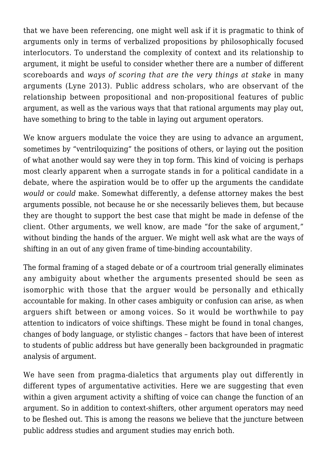that we have been referencing, one might well ask if it is pragmatic to think of arguments only in terms of verbalized propositions by philosophically focused interlocutors. To understand the complexity of context and its relationship to argument, it might be useful to consider whether there are a number of different scoreboards and *ways of scoring that are the very things at stake* in many arguments (Lyne 2013). Public address scholars, who are observant of the relationship between propositional and non-propositional features of public argument, as well as the various ways that that rational arguments may play out, have something to bring to the table in laying out argument operators.

We know arguers modulate the voice they are using to advance an argument, sometimes by "ventriloquizing" the positions of others, or laying out the position of what another would say were they in top form. This kind of voicing is perhaps most clearly apparent when a surrogate stands in for a political candidate in a debate, where the aspiration would be to offer up the arguments the candidate *would* or *could* make. Somewhat differently, a defense attorney makes the best arguments possible, not because he or she necessarily believes them, but because they are thought to support the best case that might be made in defense of the client. Other arguments, we well know, are made "for the sake of argument," without binding the hands of the arguer. We might well ask what are the ways of shifting in an out of any given frame of time-binding accountability.

The formal framing of a staged debate or of a courtroom trial generally eliminates any ambiguity about whether the arguments presented should be seen as isomorphic with those that the arguer would be personally and ethically accountable for making. In other cases ambiguity or confusion can arise, as when arguers shift between or among voices. So it would be worthwhile to pay attention to indicators of voice shiftings. These might be found in tonal changes, changes of body language, or stylistic changes – factors that have been of interest to students of public address but have generally been backgrounded in pragmatic analysis of argument.

We have seen from pragma-dialetics that arguments play out differently in different types of argumentative activities. Here we are suggesting that even within a given argument activity a shifting of voice can change the function of an argument. So in addition to context-shifters, other argument operators may need to be fleshed out. This is among the reasons we believe that the juncture between public address studies and argument studies may enrich both.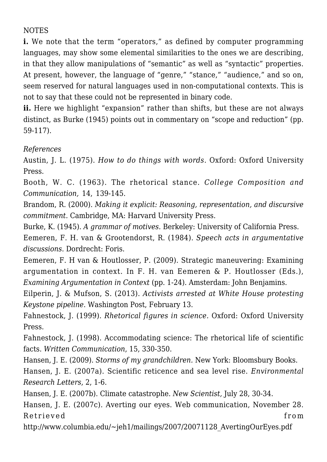## NOTES

**i.** We note that the term "operators," as defined by computer programming languages, may show some elemental similarities to the ones we are describing, in that they allow manipulations of "semantic" as well as "syntactic" properties. At present, however, the language of "genre," "stance," "audience," and so on, seem reserved for natural languages used in non-computational contexts. This is not to say that these could not be represented in binary code.

ii. Here we highlight "expansion" rather than shifts, but these are not always distinct, as Burke (1945) points out in commentary on "scope and reduction" (pp. 59-117).

*References*

Austin, J. L. (1975). *How to do things with words*. Oxford: Oxford University Press.

Booth, W. C. (1963). The rhetorical stance. *College Composition and Communication,* 14, 139-145.

Brandom, R. (2000). *Making it explicit: Reasoning, representation, and discursive commitment.* Cambridge, MA: Harvard University Press.

Burke, K. (1945). *A grammar of motives.* Berkeley: University of California Press.

Eemeren, F. H. van & Grootendorst, R. (1984). *Speech acts in argumentative discussions*. Dordrecht: Foris.

Eemeren, F. H van & Houtlosser, P. (2009). Strategic maneuvering: Examining argumentation in context. In F. H. van Eemeren & P. Houtlosser (Eds.), *Examining Argumentation in Context* (pp. 1-24). Amsterdam: John Benjamins.

Eilperin, J. & Mufson, S. (2013). *Activists arrested at White House protesting Keystone pipeline*. Washington Post, February 13.

Fahnestock, J. (1999). *Rhetorical figures in science.* Oxford: Oxford University Press.

Fahnestock, J. (1998). Accommodating science: The rhetorical life of scientific facts. *Written Communication*, 15, 330-350.

Hansen, J. E. (2009). *Storms of my grandchildren.* New York: Bloomsbury Books.

Hansen, J. E. (2007a). Scientific reticence and sea level rise. *Environmental Research Letters*, 2, 1-6.

Hansen, J. E. (2007b). Climate catastrophe. *New Scientist,* July 28, 30-34.

Hansen, J. E. (2007c). Averting our eyes. Web communication, November 28. Retrieved from the set of  $\mathbb{R}^n$  and  $\mathbb{R}^n$  and  $\mathbb{R}^n$  and  $\mathbb{R}^n$  from the set of  $\mathbb{R}^n$  and  $\mathbb{R}^n$  and  $\mathbb{R}^n$  and  $\mathbb{R}^n$  and  $\mathbb{R}^n$  and  $\mathbb{R}^n$  and  $\mathbb{R}^n$  and  $\mathbb{R}^n$  and  $\mathbb$ 

http://www.columbia.edu/~jeh1/mailings/2007/20071128\_AvertingOurEyes.pdf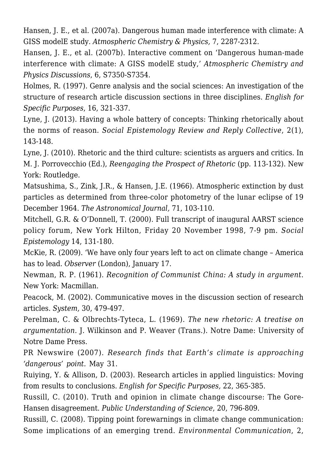Hansen, J. E., et al. (2007a). Dangerous human made interference with climate: A GISS modelE study. *Atmospheric Chemistry & Physics,* 7, 2287-2312.

Hansen, J. E., et al. (2007b). Interactive comment on 'Dangerous human-made interference with climate: A GISS modelE study,' *Atmospheric Chemistry and Physics Discussions*, 6, S7350-S7354.

Holmes, R. (1997). Genre analysis and the social sciences: An investigation of the structure of research article discussion sections in three disciplines. *English for Specific Purposes*, 16, 321-337.

Lyne, J. (2013). Having a whole battery of concepts: Thinking rhetorically about the norms of reason. *Social Epistemology Review and Reply Collective*, 2(1), 143-148.

Lyne, J. (2010). Rhetoric and the third culture: scientists as arguers and critics. In M. J. Porrovecchio (Ed.), *Reengaging the Prospect of Rhetoric* (pp. 113-132). New York: Routledge.

Matsushima, S., Zink, J.R., & Hansen, J.E. (1966). Atmospheric extinction by dust particles as determined from three-color photometry of the lunar eclipse of 19 December 1964. *The Astronomical Journal,* 71, 103-110.

Mitchell, G.R. & O'Donnell, T. (2000). Full transcript of inaugural AARST science policy forum, New York Hilton, Friday 20 November 1998, 7-9 pm. *Social Epistemology* 14, 131-180.

McKie, R. (2009). 'We have only four years left to act on climate change – America has to lead. *Observer* (London), January 17.

Newman, R. P. (1961). *Recognition of Communist China: A study in argument*. New York: Macmillan.

Peacock, M. (2002). Communicative moves in the discussion section of research articles. *System,* 30, 479-497.

Perelman, C. & Olbrechts-Tyteca, L. (1969). *The new rhetoric: A treatise on argumentation.* J. Wilkinson and P. Weaver (Trans.). Notre Dame: University of Notre Dame Press.

PR Newswire (2007). *Research finds that Earth's climate is approaching 'dangerous' point.* May 31.

Ruiying, Y. & Allison, D. (2003). Research articles in applied linguistics: Moving from results to conclusions. *English for Specific Purposes,* 22, 365-385.

Russill, C. (2010). Truth and opinion in climate change discourse: The Gore-Hansen disagreement. *Public Understanding of Science*, 20, 796-809.

Russill, C. (2008). Tipping point forewarnings in climate change communication: Some implications of an emerging trend. *Environmental Communication*, 2,